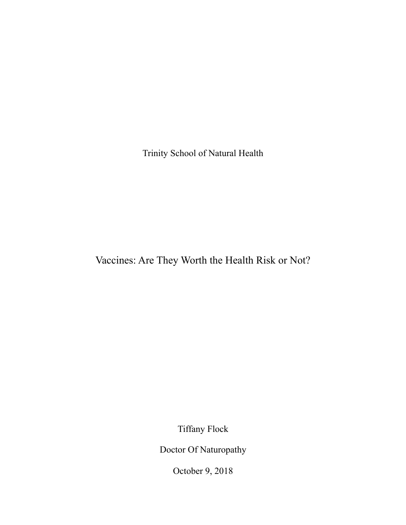Trinity School of Natural Health

Vaccines: Are They Worth the Health Risk or Not?

Tiffany Flock

Doctor Of Naturopathy

October 9, 2018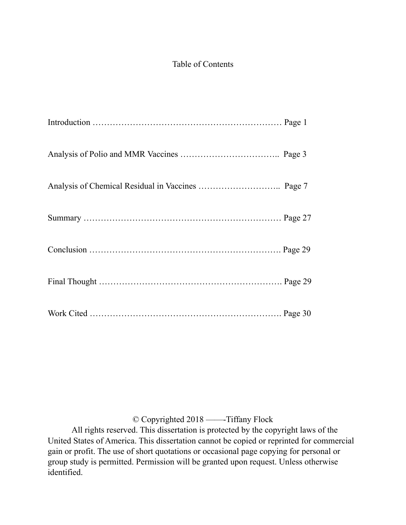# Table of Contents

© Copyrighted 2018 ——-Tiffany Flock

 All rights reserved. This dissertation is protected by the copyright laws of the United States of America. This dissertation cannot be copied or reprinted for commercial gain or profit. The use of short quotations or occasional page copying for personal or group study is permitted. Permission will be granted upon request. Unless otherwise identified.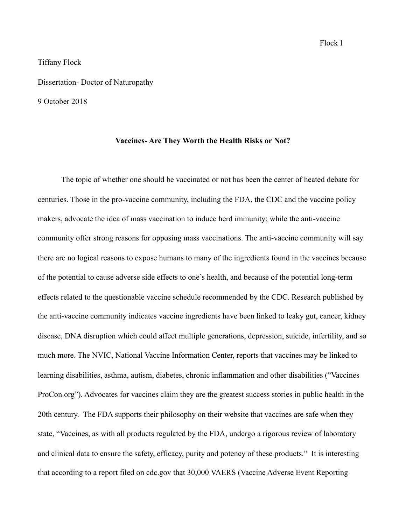### Tiffany Flock

Dissertation- Doctor of Naturopathy

9 October 2018

## **Vaccines- Are They Worth the Health Risks or Not?**

 The topic of whether one should be vaccinated or not has been the center of heated debate for centuries. Those in the pro-vaccine community, including the FDA, the CDC and the vaccine policy makers, advocate the idea of mass vaccination to induce herd immunity; while the anti-vaccine community offer strong reasons for opposing mass vaccinations. The anti-vaccine community will say there are no logical reasons to expose humans to many of the ingredients found in the vaccines because of the potential to cause adverse side effects to one's health, and because of the potential long-term effects related to the questionable vaccine schedule recommended by the CDC. Research published by the anti-vaccine community indicates vaccine ingredients have been linked to leaky gut, cancer, kidney disease, DNA disruption which could affect multiple generations, depression, suicide, infertility, and so much more. The NVIC, National Vaccine Information Center, reports that vaccines may be linked to learning disabilities, asthma, autism, diabetes, chronic inflammation and other disabilities ("Vaccines ProCon.org"). Advocates for vaccines claim they are the greatest success stories in public health in the 20th century. The FDA supports their philosophy on their website that vaccines are safe when they state, "Vaccines, as with all products regulated by the FDA, undergo a rigorous review of laboratory and clinical data to ensure the safety, efficacy, purity and potency of these products." It is interesting that according to a report filed on cdc.gov that 30,000 VAERS (Vaccine Adverse Event Reporting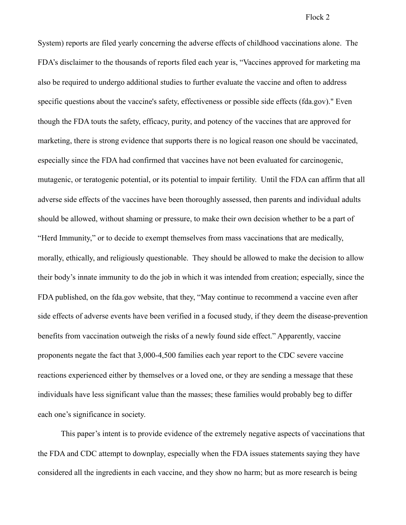System) reports are filed yearly concerning the adverse effects of childhood vaccinations alone. The FDA's disclaimer to the thousands of reports filed each year is, "Vaccines approved for marketing ma also be required to undergo additional studies to further evaluate the vaccine and often to address specific questions about the vaccine's safety, effectiveness or possible side effects (fda.gov)." Even though the FDA touts the safety, efficacy, purity, and potency of the vaccines that are approved for marketing, there is strong evidence that supports there is no logical reason one should be vaccinated, especially since the FDA had confirmed that vaccines have not been evaluated for carcinogenic, mutagenic, or teratogenic potential, or its potential to impair fertility. Until the FDA can affirm that all adverse side effects of the vaccines have been thoroughly assessed, then parents and individual adults should be allowed, without shaming or pressure, to make their own decision whether to be a part of "Herd Immunity," or to decide to exempt themselves from mass vaccinations that are medically, morally, ethically, and religiously questionable. They should be allowed to make the decision to allow their body's innate immunity to do the job in which it was intended from creation; especially, since the FDA published, on the fda.gov website, that they, "May continue to recommend a vaccine even after side effects of adverse events have been verified in a focused study, if they deem the disease-prevention benefits from vaccination outweigh the risks of a newly found side effect." Apparently, vaccine proponents negate the fact that 3,000-4,500 families each year report to the CDC severe vaccine reactions experienced either by themselves or a loved one, or they are sending a message that these individuals have less significant value than the masses; these families would probably beg to differ each one's significance in society.

This paper's intent is to provide evidence of the extremely negative aspects of vaccinations that the FDA and CDC attempt to downplay, especially when the FDA issues statements saying they have considered all the ingredients in each vaccine, and they show no harm; but as more research is being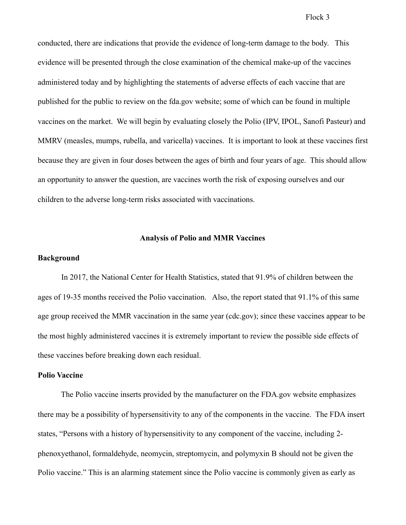conducted, there are indications that provide the evidence of long-term damage to the body. This evidence will be presented through the close examination of the chemical make-up of the vaccines administered today and by highlighting the statements of adverse effects of each vaccine that are published for the public to review on the fda.gov website; some of which can be found in multiple vaccines on the market. We will begin by evaluating closely the Polio (IPV, IPOL, Sanofi Pasteur) and MMRV (measles, mumps, rubella, and varicella) vaccines. It is important to look at these vaccines first because they are given in four doses between the ages of birth and four years of age. This should allow an opportunity to answer the question, are vaccines worth the risk of exposing ourselves and our children to the adverse long-term risks associated with vaccinations.

### **Analysis of Polio and MMR Vaccines**

#### **Background**

 In 2017, the National Center for Health Statistics, stated that 91.9% of children between the ages of 19-35 months received the Polio vaccination. Also, the report stated that 91.1% of this same age group received the MMR vaccination in the same year (cdc.gov); since these vaccines appear to be the most highly administered vaccines it is extremely important to review the possible side effects of these vaccines before breaking down each residual.

#### **Polio Vaccine**

The Polio vaccine inserts provided by the manufacturer on the FDA.gov website emphasizes there may be a possibility of hypersensitivity to any of the components in the vaccine. The FDA insert states, "Persons with a history of hypersensitivity to any component of the vaccine, including 2 phenoxyethanol, formaldehyde, neomycin, streptomycin, and polymyxin B should not be given the Polio vaccine." This is an alarming statement since the Polio vaccine is commonly given as early as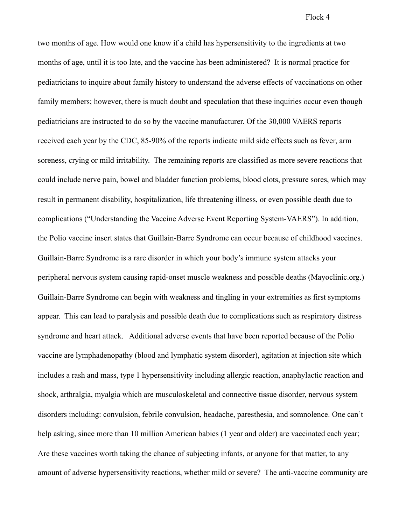two months of age. How would one know if a child has hypersensitivity to the ingredients at two months of age, until it is too late, and the vaccine has been administered? It is normal practice for pediatricians to inquire about family history to understand the adverse effects of vaccinations on other family members; however, there is much doubt and speculation that these inquiries occur even though pediatricians are instructed to do so by the vaccine manufacturer. Of the 30,000 VAERS reports received each year by the CDC, 85-90% of the reports indicate mild side effects such as fever, arm soreness, crying or mild irritability. The remaining reports are classified as more severe reactions that could include nerve pain, bowel and bladder function problems, blood clots, pressure sores, which may result in permanent disability, hospitalization, life threatening illness, or even possible death due to complications ("Understanding the Vaccine Adverse Event Reporting System-VAERS"). In addition, the Polio vaccine insert states that Guillain-Barre Syndrome can occur because of childhood vaccines. Guillain-Barre Syndrome is a rare disorder in which your body's immune system attacks your peripheral nervous system causing rapid-onset muscle weakness and possible deaths (Mayoclinic.org.) Guillain-Barre Syndrome can begin with weakness and tingling in your extremities as first symptoms appear. This can lead to paralysis and possible death due to complications such as respiratory distress syndrome and heart attack. Additional adverse events that have been reported because of the Polio vaccine are lymphadenopathy (blood and lymphatic system disorder), agitation at injection site which includes a rash and mass, type 1 hypersensitivity including allergic reaction, anaphylactic reaction and shock, arthralgia, myalgia which are musculoskeletal and connective tissue disorder, nervous system disorders including: convulsion, febrile convulsion, headache, paresthesia, and somnolence. One can't help asking, since more than 10 million American babies (1 year and older) are vaccinated each year; Are these vaccines worth taking the chance of subjecting infants, or anyone for that matter, to any amount of adverse hypersensitivity reactions, whether mild or severe? The anti-vaccine community are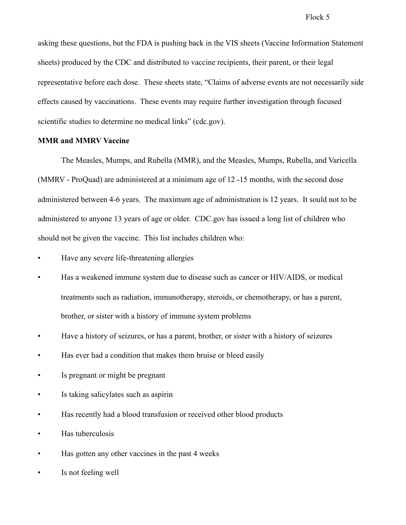asking these questions, but the FDA is pushing back in the VIS sheets (Vaccine Information Statement sheets) produced by the CDC and distributed to vaccine recipients, their parent, or their legal representative before each dose. These sheets state, "Claims of adverse events are not necessarily side effects caused by vaccinations. These events may require further investigation through focused scientific studies to determine no medical links" (cdc.gov).

### **MMR and MMRV Vaccine**

 The Measles, Mumps, and Rubella (MMR), and the Measles, Mumps, Rubella, and Varicella (MMRV - ProQuad) are administered at a minimum age of 12 -15 months, with the second dose administered between 4-6 years. The maximum age of administration is 12 years. It sould not to be administered to anyone 13 years of age or older. CDC.gov has issued a long list of children who should not be given the vaccine. This list includes children who:

- Have any severe life-threatening allergies
- Has a weakened immune system due to disease such as cancer or HIV/AIDS, or medical treatments such as radiation, immunotherapy, steroids, or chemotherapy, or has a parent, brother, or sister with a history of immune system problems
- Have a history of seizures, or has a parent, brother, or sister with a history of seizures
- Has ever had a condition that makes them bruise or bleed easily
- Is pregnant or might be pregnant
- Is taking salicylates such as aspirin
- Has recently had a blood transfusion or received other blood products
- Has tuberculosis
- Has gotten any other vaccines in the past 4 weeks
- Is not feeling well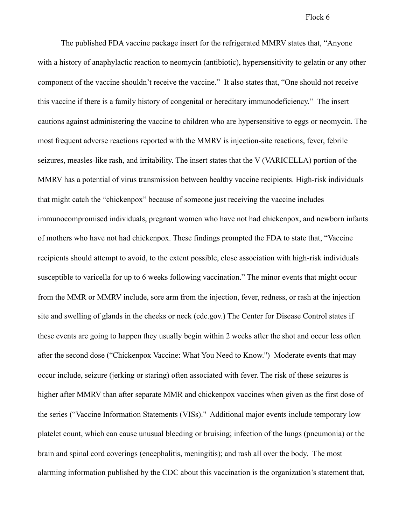The published FDA vaccine package insert for the refrigerated MMRV states that, "Anyone with a history of anaphylactic reaction to neomycin (antibiotic), hypersensitivity to gelatin or any other component of the vaccine shouldn't receive the vaccine." It also states that, "One should not receive this vaccine if there is a family history of congenital or hereditary immunodeficiency." The insert cautions against administering the vaccine to children who are hypersensitive to eggs or neomycin. The most frequent adverse reactions reported with the MMRV is injection-site reactions, fever, febrile seizures, measles-like rash, and irritability. The insert states that the V (VARICELLA) portion of the MMRV has a potential of virus transmission between healthy vaccine recipients. High-risk individuals that might catch the "chickenpox" because of someone just receiving the vaccine includes immunocompromised individuals, pregnant women who have not had chickenpox, and newborn infants of mothers who have not had chickenpox. These findings prompted the FDA to state that, "Vaccine recipients should attempt to avoid, to the extent possible, close association with high-risk individuals susceptible to varicella for up to 6 weeks following vaccination." The minor events that might occur from the MMR or MMRV include, sore arm from the injection, fever, redness, or rash at the injection site and swelling of glands in the cheeks or neck (cdc.gov.) The Center for Disease Control states if these events are going to happen they usually begin within 2 weeks after the shot and occur less often after the second dose ("Chickenpox Vaccine: What You Need to Know.") Moderate events that may occur include, seizure (jerking or staring) often associated with fever. The risk of these seizures is higher after MMRV than after separate MMR and chickenpox vaccines when given as the first dose of the series ("Vaccine Information Statements (VISs)." Additional major events include temporary low platelet count, which can cause unusual bleeding or bruising; infection of the lungs (pneumonia) or the brain and spinal cord coverings (encephalitis, meningitis); and rash all over the body. The most alarming information published by the CDC about this vaccination is the organization's statement that,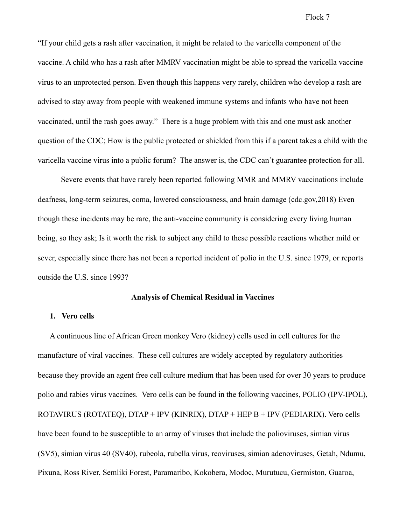"If your child gets a rash after vaccination, it might be related to the varicella component of the vaccine. A child who has a rash after MMRV vaccination might be able to spread the varicella vaccine virus to an unprotected person. Even though this happens very rarely, children who develop a rash are advised to stay away from people with weakened immune systems and infants who have not been vaccinated, until the rash goes away." There is a huge problem with this and one must ask another question of the CDC; How is the public protected or shielded from this if a parent takes a child with the varicella vaccine virus into a public forum? The answer is, the CDC can't guarantee protection for all.

Severe events that have rarely been reported following MMR and MMRV vaccinations include deafness, long-term seizures, coma, lowered consciousness, and brain damage (cdc.gov,2018) Even though these incidents may be rare, the anti-vaccine community is considering every living human being, so they ask; Is it worth the risk to subject any child to these possible reactions whether mild or sever, especially since there has not been a reported incident of polio in the U.S. since 1979, or reports outside the U.S. since 1993?

## **Analysis of Chemical Residual in Vaccines**

### **1. Vero cells**

A continuous line of African Green monkey Vero (kidney) cells used in cell cultures for the manufacture of viral vaccines. These cell cultures are widely accepted by regulatory authorities because they provide an agent free cell culture medium that has been used for over 30 years to produce polio and rabies virus vaccines. Vero cells can be found in the following vaccines, POLIO (IPV-IPOL), ROTAVIRUS (ROTATEQ), DTAP + IPV (KINRIX), DTAP + HEP B + IPV (PEDIARIX). Vero cells have been found to be susceptible to an array of viruses that include the polioviruses, simian virus (SV5), simian virus 40 (SV40), rubeola, rubella virus, reoviruses, simian adenoviruses, Getah, Ndumu, Pixuna, Ross River, Semliki Forest, Paramaribo, Kokobera, Modoc, Murutucu, Germiston, Guaroa,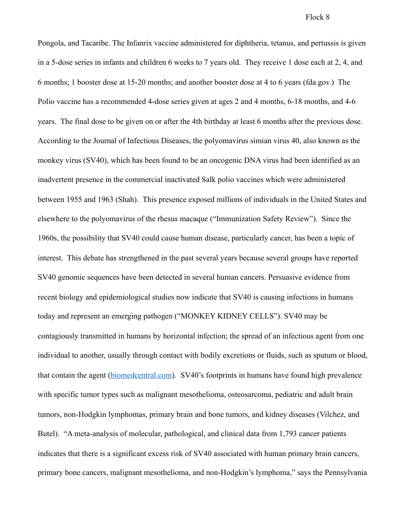Pongola, and Tacaribe. The Infanrix vaccine administered for diphtheria, tetanus, and pertussis is given in a 5-dose series in infants and children 6 weeks to 7 years old. They receive 1 dose each at 2, 4, and 6 months; 1 booster dose at 15-20 months; and another booster dose at 4 to 6 years (fda.gov.) The Polio vaccine has a recommended 4-dose series given at ages 2 and 4 months, 6-18 months, and 4-6 years. The final dose to be given on or after the 4th birthday at least 6 months after the previous dose. According to the Journal of Infectious Diseases, the polyomavirus simian virus 40, also known as the monkey virus (SV40), which has been found to be an oncogenic DNA virus had been identified as an inadvertent presence in the commercial inactivated Salk polio vaccines which were administered between 1955 and 1963 (Shah). This presence exposed millions of individuals in the United States and elsewhere to the polyomavirus of the rhesus macaque ("Immunization Safety Review"). Since the 1960s, the possibility that SV40 could cause human disease, particularly cancer, has been a topic of interest. This debate has strengthened in the past several years because several groups have reported SV40 genomic sequences have been detected in several human cancers. Persuasive evidence from recent biology and epidemiological studies now indicate that SV40 is causing infections in humans today and represent an emerging pathogen ("MONKEY KIDNEY CELLS"). SV40 may be contagiously transmitted in humans by horizontal infection; the spread of an infectious agent from one individual to another, usually through contact with bodily excretions or fluids, such as sputum or blood, that contain the agent ([biomedcentral.com](http://www.infectagentscancer.biomedcentral.com)). SV40's footprints in humans have found high prevalence with specific tumor types such as malignant mesothelioma, osteosarcoma, pediatric and adult brain tumors, non-Hodgkin lymphomas, primary brain and bone tumors, and kidney diseases (Vilchez, and Butel). "A meta-analysis of molecular, pathological, and clinical data from 1,793 cancer patients indicates that there is a significant excess risk of SV40 associated with human primary brain cancers, primary bone cancers, malignant mesothelioma, and non-Hodgkin's lymphoma," says the Pennsylvania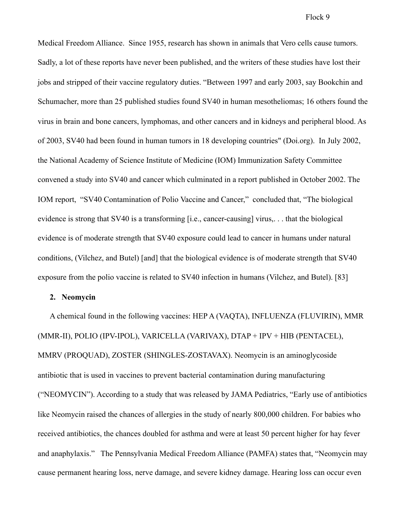Medical Freedom Alliance. Since 1955, research has shown in animals that Vero cells cause tumors. Sadly, a lot of these reports have never been published, and the writers of these studies have lost their jobs and stripped of their vaccine regulatory duties. "Between 1997 and early 2003, say Bookchin and Schumacher, more than 25 published studies found SV40 in human mesotheliomas; 16 others found the virus in brain and bone cancers, lymphomas, and other cancers and in kidneys and peripheral blood. As of 2003, SV40 had been found in human tumors in 18 developing countries" (Doi.org). In July 2002, the National Academy of Science Institute of Medicine (IOM) Immunization Safety Committee convened a study into SV40 and cancer which culminated in a report published in October 2002. The IOM report, "SV40 Contamination of Polio Vaccine and Cancer," concluded that, "The biological evidence is strong that SV40 is a transforming [i.e., cancer-causing] virus,. . . that the biological evidence is of moderate strength that SV40 exposure could lead to cancer in humans under natural conditions, (Vilchez, and Butel) [and] that the biological evidence is of moderate strength that SV40 exposure from the polio vaccine is related to SV40 infection in humans (Vilchez, and Butel). [83]

## **2. Neomycin**

A chemical found in the following vaccines: HEP A (VAQTA), INFLUENZA (FLUVIRIN), MMR (MMR-II), POLIO (IPV-IPOL), VARICELLA (VARIVAX), DTAP + IPV + HIB (PENTACEL), MMRV (PROQUAD), ZOSTER (SHINGLES-ZOSTAVAX). Neomycin is an aminoglycoside antibiotic that is used in vaccines to prevent bacterial contamination during manufacturing ("NEOMYCIN"). According to a study that was released by JAMA Pediatrics, "Early use of antibiotics like Neomycin raised the chances of allergies in the study of nearly 800,000 children. For babies who received antibiotics, the chances doubled for asthma and were at least 50 percent higher for hay fever and anaphylaxis." The Pennsylvania Medical Freedom Alliance (PAMFA) states that, "Neomycin may cause permanent hearing loss, nerve damage, and severe kidney damage. Hearing loss can occur even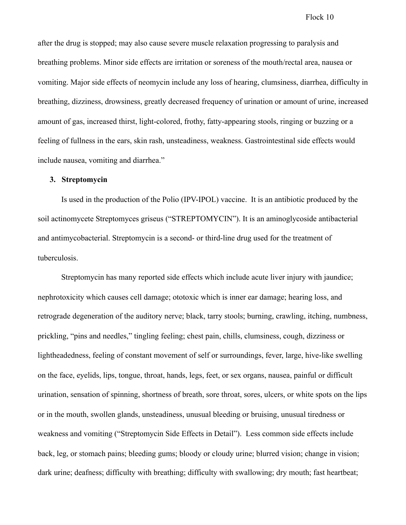after the drug is stopped; may also cause severe muscle relaxation progressing to paralysis and breathing problems. Minor side effects are irritation or soreness of the mouth/rectal area, nausea or vomiting. Major side effects of neomycin include any loss of hearing, clumsiness, diarrhea, difficulty in breathing, dizziness, drowsiness, greatly decreased frequency of urination or amount of urine, increased amount of gas, increased thirst, light-colored, frothy, fatty-appearing stools, ringing or buzzing or a feeling of fullness in the ears, skin rash, unsteadiness, weakness. Gastrointestinal side effects would include nausea, vomiting and diarrhea."

## **3. Streptomycin**

 Is used in the production of the Polio (IPV-IPOL) vaccine. It is an antibiotic produced by the soil actinomycete Streptomyces griseus ("STREPTOMYCIN"). It is an aminoglycoside antibacterial and antimycobacterial. Streptomycin is a second- or third-line drug used for the treatment of tuberculosis.

 Streptomycin has many reported side effects which include acute liver injury with jaundice; nephrotoxicity which causes cell damage; ototoxic which is inner ear damage; hearing loss, and retrograde degeneration of the auditory nerve; black, tarry stools; burning, crawling, itching, numbness, prickling, "pins and needles," tingling feeling; chest pain, chills, clumsiness, cough, dizziness or lightheadedness, feeling of constant movement of self or surroundings, fever, large, hive-like swelling on the face, eyelids, lips, tongue, throat, hands, legs, feet, or sex organs, nausea, painful or difficult urination, sensation of spinning, shortness of breath, sore throat, sores, ulcers, or white spots on the lips or in the mouth, swollen glands, unsteadiness, unusual bleeding or bruising, unusual tiredness or weakness and vomiting ("Streptomycin Side Effects in Detail"). Less common side effects include back, leg, or stomach pains; bleeding gums; bloody or cloudy urine; blurred vision; change in vision; dark urine; deafness; difficulty with breathing; difficulty with swallowing; dry mouth; fast heartbeat;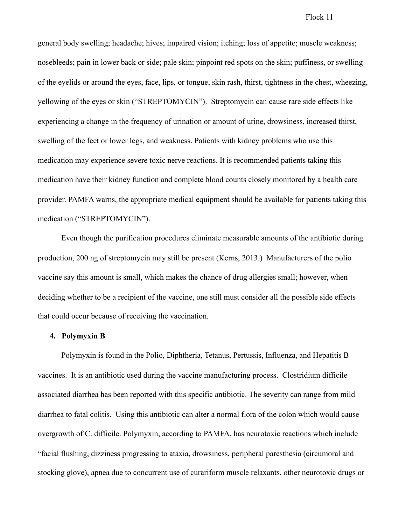general body swelling; headache; hives; impaired vision; itching; loss of appetite; muscle weakness; nosebleeds; pain in lower back or side; pale skin; pinpoint red spots on the skin; puffiness, or swelling of the eyelids or around the eyes, face, lips, or tongue, skin rash, thirst, tightness in the chest, wheezing, yellowing of the eyes or skin ("STREPTOMYCIN"). Streptomycin can cause rare side effects like experiencing a change in the frequency of urination or amount of urine, drowsiness, increased thirst, swelling of the feet or lower legs, and weakness. Patients with kidney problems who use this medication may experience severe toxic nerve reactions. It is recommended patients taking this medication have their kidney function and complete blood counts closely monitored by a health care provider. PAMFA warns, the appropriate medical equipment should be available for patients taking this medication ("STREPTOMYCIN").

 Even though the purification procedures eliminate measurable amounts of the antibiotic during production, 200 ng of streptomycin may still be present (Kerns, 2013.) Manufacturers of the polio vaccine say this amount is small, which makes the chance of drug allergies small; however, when deciding whether to be a recipient of the vaccine, one still must consider all the possible side effects that could occur because of receiving the vaccination.

### **4. Polymyxin B**

 Polymyxin is found in the Polio, Diphtheria, Tetanus, Pertussis, Influenza, and Hepatitis B vaccines. It is an antibiotic used during the vaccine manufacturing process. Clostridium difficile associated diarrhea has been reported with this specific antibiotic. The severity can range from mild diarrhea to fatal colitis. Using this antibiotic can alter a normal flora of the colon which would cause overgrowth of C. difficile. Polymyxin, according to PAMFA, has neurotoxic reactions which include "facial flushing, dizziness progressing to ataxia, drowsiness, peripheral paresthesia (circumoral and stocking glove), apnea due to concurrent use of curariform muscle relaxants, other neurotoxic drugs or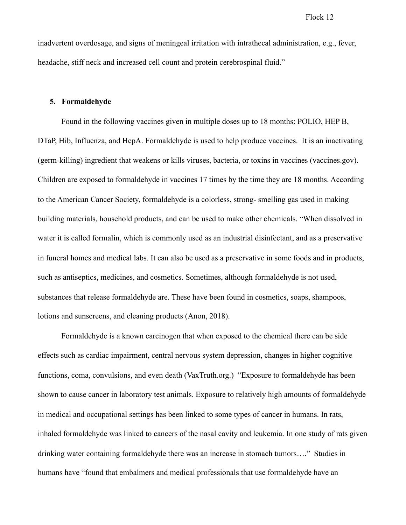inadvertent overdosage, and signs of meningeal irritation with intrathecal administration, e.g., fever, headache, stiff neck and increased cell count and protein cerebrospinal fluid."

### **5. Formaldehyde**

 Found in the following vaccines given in multiple doses up to 18 months: POLIO, HEP B, DTaP, Hib, Influenza, and HepA. Formaldehyde is used to help produce vaccines. It is an inactivating (germ-killing) ingredient that weakens or kills viruses, bacteria, or toxins in vaccines (vaccines.gov). Children are exposed to formaldehyde in vaccines 17 times by the time they are 18 months. According to the American Cancer Society, formaldehyde is a colorless, strong- smelling gas used in making building materials, household products, and can be used to make other chemicals. "When dissolved in water it is called formalin, which is commonly used as an industrial disinfectant, and as a preservative in funeral homes and medical labs. It can also be used as a preservative in some foods and in products, such as antiseptics, medicines, and cosmetics. Sometimes, although formaldehyde is not used, substances that release formaldehyde are. These have been found in cosmetics, soaps, shampoos, lotions and sunscreens, and cleaning products (Anon, 2018).

 Formaldehyde is a known carcinogen that when exposed to the chemical there can be side effects such as cardiac impairment, central nervous system depression, changes in higher cognitive functions, coma, convulsions, and even death (VaxTruth.org.) "Exposure to formaldehyde has been shown to cause cancer in laboratory test animals. Exposure to relatively high amounts of formaldehyde in medical and occupational settings has been linked to some types of cancer in humans. In rats, inhaled formaldehyde was linked to cancers of the nasal cavity and leukemia. In one study of rats given drinking water containing formaldehyde there was an increase in stomach tumors…." Studies in humans have "found that embalmers and medical professionals that use formaldehyde have an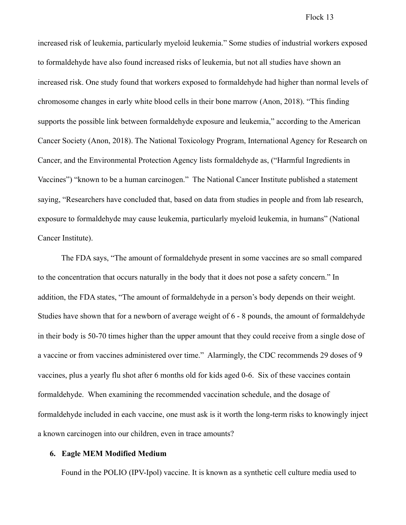increased risk of leukemia, particularly myeloid leukemia." Some studies of industrial workers exposed to formaldehyde have also found increased risks of leukemia, but not all studies have shown an increased risk. One study found that workers exposed to formaldehyde had higher than normal levels of chromosome changes in early white blood cells in their bone marrow (Anon, 2018). "This finding supports the possible link between formaldehyde exposure and leukemia," according to the American Cancer Society (Anon, 2018). The National Toxicology Program, International Agency for Research on Cancer, and the Environmental Protection Agency lists formaldehyde as, ("Harmful Ingredients in Vaccines") "known to be a human carcinogen." The National Cancer Institute published a statement saying, "Researchers have concluded that, based on data from studies in people and from lab research, exposure to formaldehyde may cause leukemia, particularly myeloid leukemia, in humans" (National Cancer Institute).

 The FDA says, "The amount of formaldehyde present in some vaccines are so small compared to the concentration that occurs naturally in the body that it does not pose a safety concern." In addition, the FDA states, "The amount of formaldehyde in a person's body depends on their weight. Studies have shown that for a newborn of average weight of 6 - 8 pounds, the amount of formaldehyde in their body is 50-70 times higher than the upper amount that they could receive from a single dose of a vaccine or from vaccines administered over time." Alarmingly, the CDC recommends 29 doses of 9 vaccines, plus a yearly flu shot after 6 months old for kids aged 0-6. Six of these vaccines contain formaldehyde. When examining the recommended vaccination schedule, and the dosage of formaldehyde included in each vaccine, one must ask is it worth the long-term risks to knowingly inject a known carcinogen into our children, even in trace amounts?

## **6. Eagle MEM Modified Medium**

Found in the POLIO (IPV-Ipol) vaccine. It is known as a synthetic cell culture media used to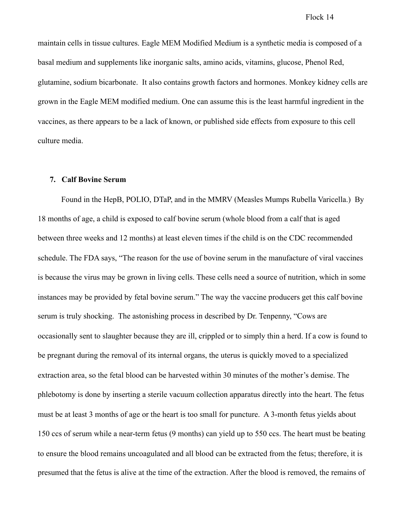maintain cells in tissue cultures. Eagle MEM Modified Medium is a synthetic media is composed of a basal medium and supplements like inorganic salts, amino acids, vitamins, glucose, Phenol Red, glutamine, sodium bicarbonate. It also contains growth factors and hormones. Monkey kidney cells are grown in the Eagle MEM modified medium. One can assume this is the least harmful ingredient in the vaccines, as there appears to be a lack of known, or published side effects from exposure to this cell culture media.

## **7. Calf Bovine Serum**

 Found in the HepB, POLIO, DTaP, and in the MMRV (Measles Mumps Rubella Varicella.) By 18 months of age, a child is exposed to calf bovine serum (whole blood from a calf that is aged between three weeks and 12 months) at least eleven times if the child is on the CDC recommended schedule. The FDA says, "The reason for the use of bovine serum in the manufacture of viral vaccines is because the virus may be grown in living cells. These cells need a source of nutrition, which in some instances may be provided by fetal bovine serum." The way the vaccine producers get this calf bovine serum is truly shocking. The astonishing process in described by Dr. Tenpenny, "Cows are occasionally sent to slaughter because they are ill, crippled or to simply thin a herd. If a cow is found to be pregnant during the removal of its internal organs, the uterus is quickly moved to a specialized extraction area, so the fetal blood can be harvested within 30 minutes of the mother's demise. The phlebotomy is done by inserting a sterile vacuum collection apparatus directly into the heart. The fetus must be at least 3 months of age or the heart is too small for puncture. A 3-month fetus yields about 150 ccs of serum while a near-term fetus (9 months) can yield up to 550 ccs. The heart must be beating to ensure the blood remains uncoagulated and all blood can be extracted from the fetus; therefore, it is presumed that the fetus is alive at the time of the extraction. After the blood is removed, the remains of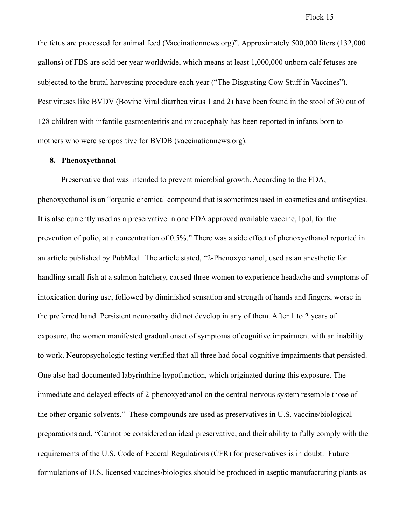the fetus are processed for animal feed (Vaccinationnews.org)". Approximately 500,000 liters (132,000 gallons) of FBS are sold per year worldwide, which means at least 1,000,000 unborn calf fetuses are subjected to the brutal harvesting procedure each year ("The Disgusting Cow Stuff in Vaccines"). Pestiviruses like BVDV (Bovine Viral diarrhea virus 1 and 2) have been found in the stool of 30 out of 128 children with infantile gastroenteritis and microcephaly has been reported in infants born to mothers who were seropositive for BVDB (vaccinationnews.org).

## **8. Phenoxyethanol**

 Preservative that was intended to prevent microbial growth. According to the FDA, phenoxyethanol is an "organic chemical compound that is sometimes used in cosmetics and antiseptics. It is also currently used as a preservative in one FDA approved available vaccine, Ipol, for the prevention of polio, at a concentration of 0.5%." There was a side effect of phenoxyethanol reported in an article published by PubMed. The article stated, "2-Phenoxyethanol, used as an anesthetic for handling small fish at a salmon hatchery, caused three women to experience headache and symptoms of intoxication during use, followed by diminished sensation and strength of hands and fingers, worse in the preferred hand. Persistent neuropathy did not develop in any of them. After 1 to 2 years of exposure, the women manifested gradual onset of symptoms of cognitive impairment with an inability to work. Neuropsychologic testing verified that all three had focal cognitive impairments that persisted. One also had documented labyrinthine hypofunction, which originated during this exposure. The immediate and delayed effects of 2-phenoxyethanol on the central nervous system resemble those of the other organic solvents." These compounds are used as preservatives in U.S. vaccine/biological preparations and, "Cannot be considered an ideal preservative; and their ability to fully comply with the requirements of the U.S. Code of Federal Regulations (CFR) for preservatives is in doubt. Future formulations of U.S. licensed vaccines/biologics should be produced in aseptic manufacturing plants as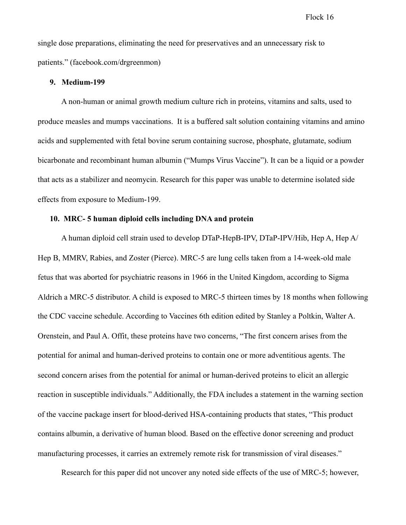single dose preparations, eliminating the need for preservatives and an unnecessary risk to patients." (facebook.com/drgreenmon)

### **9. Medium-199**

 A non-human or animal growth medium culture rich in proteins, vitamins and salts, used to produce measles and mumps vaccinations. It is a buffered salt solution containing vitamins and amino acids and supplemented with fetal bovine serum containing sucrose, phosphate, glutamate, sodium bicarbonate and recombinant human albumin ("Mumps Virus Vaccine"). It can be a liquid or a powder that acts as a stabilizer and neomycin. Research for this paper was unable to determine isolated side effects from exposure to Medium-199.

## **10. MRC- 5 human diploid cells including DNA and protein**

 A human diploid cell strain used to develop DTaP-HepB-IPV, DTaP-IPV/Hib, Hep A, Hep A/ Hep B, MMRV, Rabies, and Zoster (Pierce). MRC-5 are lung cells taken from a 14-week-old male fetus that was aborted for psychiatric reasons in 1966 in the United Kingdom, according to Sigma Aldrich a MRC-5 distributor. A child is exposed to MRC-5 thirteen times by 18 months when following the CDC vaccine schedule. According to Vaccines 6th edition edited by Stanley a Poltkin, Walter A. Orenstein, and Paul A. Offit, these proteins have two concerns, "The first concern arises from the potential for animal and human-derived proteins to contain one or more adventitious agents. The second concern arises from the potential for animal or human-derived proteins to elicit an allergic reaction in susceptible individuals." Additionally, the FDA includes a statement in the warning section of the vaccine package insert for blood-derived HSA-containing products that states, "This product contains albumin, a derivative of human blood. Based on the effective donor screening and product manufacturing processes, it carries an extremely remote risk for transmission of viral diseases."

Research for this paper did not uncover any noted side effects of the use of MRC-5; however,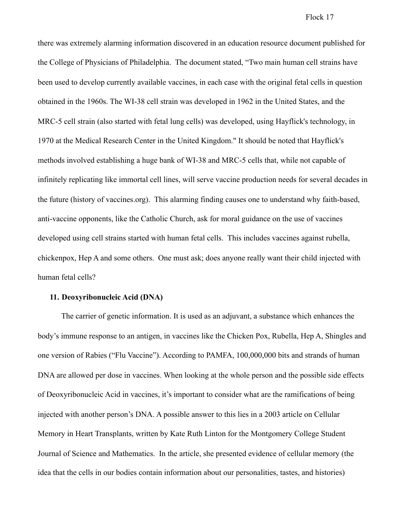there was extremely alarming information discovered in an education resource document published for the College of Physicians of Philadelphia. The document stated, "Two main human cell strains have been used to develop currently available vaccines, in each case with the original fetal cells in question obtained in the 1960s. The WI-38 cell strain was developed in 1962 in the United States, and the MRC-5 cell strain (also started with fetal lung cells) was developed, using Hayflick's technology, in 1970 at the Medical Research Center in the United Kingdom." It should be noted that Hayflick's methods involved establishing a huge bank of WI-38 and MRC-5 cells that, while not capable of infinitely replicating like immortal cell lines, will serve vaccine production needs for several decades in the future (history of vaccines.org). This alarming finding causes one to understand why faith-based, anti-vaccine opponents, like the Catholic Church, ask for moral guidance on the use of vaccines developed using cell strains started with human fetal cells. This includes vaccines against rubella, chickenpox, Hep A and some others. One must ask; does anyone really want their child injected with human fetal cells?

## **11. Deoxyribonucleic Acid (DNA)**

 The carrier of genetic information. It is used as an adjuvant, a substance which enhances the body's immune response to an antigen, in vaccines like the Chicken Pox, Rubella, Hep A, Shingles and one version of Rabies ("Flu Vaccine"). According to PAMFA, 100,000,000 bits and strands of human DNA are allowed per dose in vaccines. When looking at the whole person and the possible side effects of Deoxyribonucleic Acid in vaccines, it's important to consider what are the ramifications of being injected with another person's DNA. A possible answer to this lies in a 2003 article on Cellular Memory in Heart Transplants, written by Kate Ruth Linton for the Montgomery College Student Journal of Science and Mathematics. In the article, she presented evidence of cellular memory (the idea that the cells in our bodies contain information about our personalities, tastes, and histories)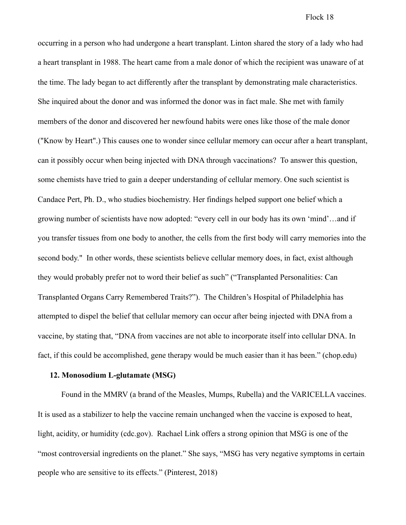occurring in a person who had undergone a heart transplant. Linton shared the story of a lady who had a heart transplant in 1988. The heart came from a male donor of which the recipient was unaware of at the time. The lady began to act differently after the transplant by demonstrating male characteristics. She inquired about the donor and was informed the donor was in fact male. She met with family members of the donor and discovered her newfound habits were ones like those of the male donor ("Know by Heart".) This causes one to wonder since cellular memory can occur after a heart transplant, can it possibly occur when being injected with DNA through vaccinations? To answer this question, some chemists have tried to gain a deeper understanding of cellular memory. One such scientist is Candace Pert, Ph. D., who studies biochemistry. Her findings helped support one belief which a growing number of scientists have now adopted: "every cell in our body has its own 'mind'…and if you transfer tissues from one body to another, the cells from the first body will carry memories into the second body." In other words, these scientists believe cellular memory does, in fact, exist although they would probably prefer not to word their belief as such" ("Transplanted Personalities: Can Transplanted Organs Carry Remembered Traits?"). The Children's Hospital of Philadelphia has attempted to dispel the belief that cellular memory can occur after being injected with DNA from a vaccine, by stating that, "DNA from vaccines are not able to incorporate itself into cellular DNA. In fact, if this could be accomplished, gene therapy would be much easier than it has been." (chop.edu)

## **12. Monosodium L-glutamate (MSG)**

 Found in the MMRV (a brand of the Measles, Mumps, Rubella) and the VARICELLA vaccines. It is used as a stabilizer to help the vaccine remain unchanged when the vaccine is exposed to heat, light, acidity, or humidity (cdc.gov). Rachael Link offers a strong opinion that MSG is one of the "most controversial ingredients on the planet." She says, "MSG has very negative symptoms in certain people who are sensitive to its effects." (Pinterest, 2018)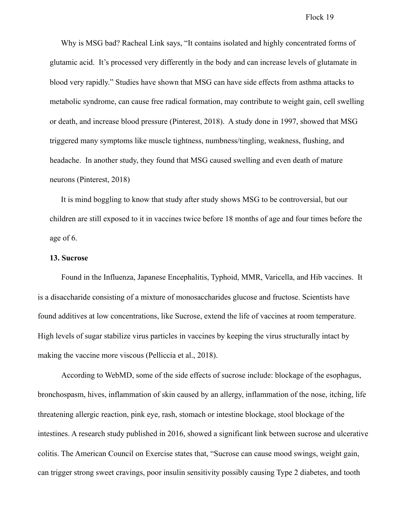Why is MSG bad? Racheal Link says, "It contains isolated and highly concentrated forms of glutamic acid. It's processed very differently in the body and can increase levels of glutamate in blood very rapidly." Studies have shown that MSG can have side effects from asthma attacks to metabolic syndrome, can cause free radical formation, may contribute to weight gain, cell swelling or death, and increase blood pressure (Pinterest, 2018). A study done in 1997, showed that MSG triggered many symptoms like muscle tightness, numbness/tingling, weakness, flushing, and headache. In another study, they found that MSG caused swelling and even death of mature neurons (Pinterest, 2018)

It is mind boggling to know that study after study shows MSG to be controversial, but our children are still exposed to it in vaccines twice before 18 months of age and four times before the age of 6.

### **13. Sucrose**

 Found in the Influenza, Japanese Encephalitis, Typhoid, MMR, Varicella, and Hib vaccines. It is a disaccharide consisting of a mixture of monosaccharides glucose and fructose. Scientists have found additives at low concentrations, like Sucrose, extend the life of vaccines at room temperature. High levels of sugar stabilize virus particles in vaccines by keeping the virus structurally intact by making the vaccine more viscous (Pelliccia et al., 2018).

 According to WebMD, some of the side effects of sucrose include: blockage of the esophagus, bronchospasm, hives, inflammation of skin caused by an allergy, inflammation of the nose, itching, life threatening allergic reaction, pink eye, rash, stomach or intestine blockage, stool blockage of the intestines. A research study published in 2016, showed a significant link between sucrose and ulcerative colitis. The American Council on Exercise states that, "Sucrose can cause mood swings, weight gain, can trigger strong sweet cravings, poor insulin sensitivity possibly causing Type 2 diabetes, and tooth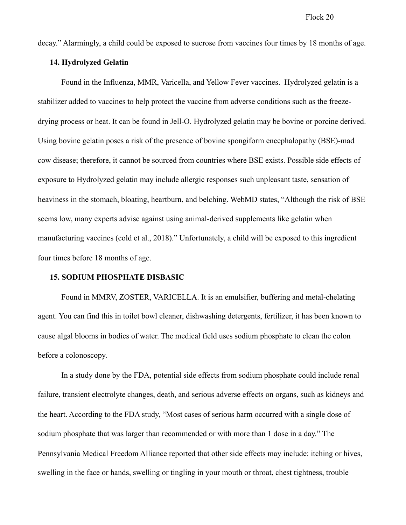decay." Alarmingly, a child could be exposed to sucrose from vaccines four times by 18 months of age.

### **14. Hydrolyzed Gelatin**

 Found in the Influenza, MMR, Varicella, and Yellow Fever vaccines. Hydrolyzed gelatin is a stabilizer added to vaccines to help protect the vaccine from adverse conditions such as the freezedrying process or heat. It can be found in Jell-O. Hydrolyzed gelatin may be bovine or porcine derived. Using bovine gelatin poses a risk of the presence of bovine spongiform encephalopathy (BSE)-mad cow disease; therefore, it cannot be sourced from countries where BSE exists. Possible side effects of exposure to Hydrolyzed gelatin may include allergic responses such unpleasant taste, sensation of heaviness in the stomach, bloating, heartburn, and belching. WebMD states, "Although the risk of BSE seems low, many experts advise against using animal-derived supplements like gelatin when manufacturing vaccines (cold et al., 2018)." Unfortunately, a child will be exposed to this ingredient four times before 18 months of age.

### **15. SODIUM PHOSPHATE DISBASIC**

 Found in MMRV, ZOSTER, VARICELLA. It is an emulsifier, buffering and metal-chelating agent. You can find this in toilet bowl cleaner, dishwashing detergents, fertilizer, it has been known to cause algal blooms in bodies of water. The medical field uses sodium phosphate to clean the colon before a colonoscopy.

 In a study done by the FDA, potential side effects from sodium phosphate could include renal failure, transient electrolyte changes, death, and serious adverse effects on organs, such as kidneys and the heart. According to the FDA study, "Most cases of serious harm occurred with a single dose of sodium phosphate that was larger than recommended or with more than 1 dose in a day." The Pennsylvania Medical Freedom Alliance reported that other side effects may include: itching or hives, swelling in the face or hands, swelling or tingling in your mouth or throat, chest tightness, trouble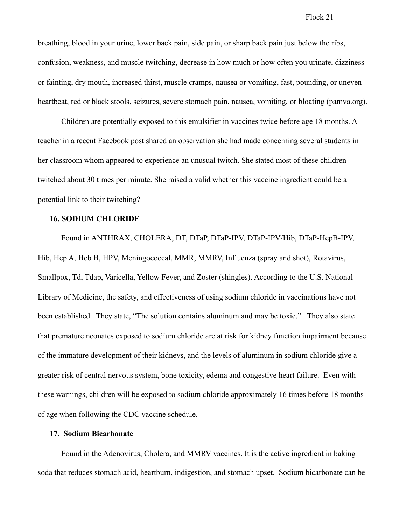breathing, blood in your urine, lower back pain, side pain, or sharp back pain just below the ribs, confusion, weakness, and muscle twitching, decrease in how much or how often you urinate, dizziness or fainting, dry mouth, increased thirst, muscle cramps, nausea or vomiting, fast, pounding, or uneven heartbeat, red or black stools, seizures, severe stomach pain, nausea, vomiting, or bloating (pamva.org).

 Children are potentially exposed to this emulsifier in vaccines twice before age 18 months. A teacher in a recent Facebook post shared an observation she had made concerning several students in her classroom whom appeared to experience an unusual twitch. She stated most of these children twitched about 30 times per minute. She raised a valid whether this vaccine ingredient could be a potential link to their twitching?

## **16. SODIUM CHLORIDE**

 Found in ANTHRAX, CHOLERA, DT, DTaP, DTaP-IPV, DTaP-IPV/Hib, DTaP-HepB-IPV, Hib, Hep A, Heb B, HPV, Meningococcal, MMR, MMRV, Influenza (spray and shot), Rotavirus, Smallpox, Td, Tdap, Varicella, Yellow Fever, and Zoster (shingles). According to the U.S. National Library of Medicine, the safety, and effectiveness of using sodium chloride in vaccinations have not been established. They state, "The solution contains aluminum and may be toxic." They also state that premature neonates exposed to sodium chloride are at risk for kidney function impairment because of the immature development of their kidneys, and the levels of aluminum in sodium chloride give a greater risk of central nervous system, bone toxicity, edema and congestive heart failure. Even with these warnings, children will be exposed to sodium chloride approximately 16 times before 18 months of age when following the CDC vaccine schedule.

### **17. Sodium Bicarbonate**

 Found in the Adenovirus, Cholera, and MMRV vaccines. It is the active ingredient in baking soda that reduces stomach acid, heartburn, indigestion, and stomach upset. Sodium bicarbonate can be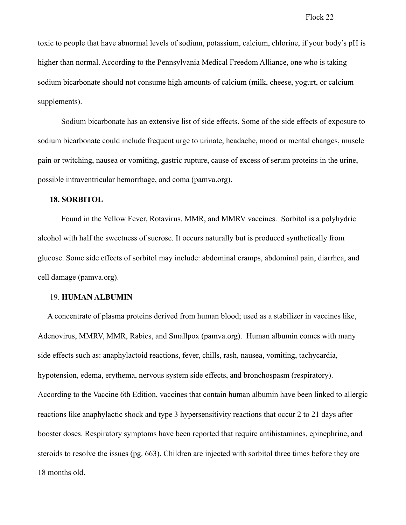toxic to people that have abnormal levels of sodium, potassium, calcium, chlorine, if your body's pH is higher than normal. According to the Pennsylvania Medical Freedom Alliance, one who is taking sodium bicarbonate should not consume high amounts of calcium (milk, cheese, yogurt, or calcium supplements).

 Sodium bicarbonate has an extensive list of side effects. Some of the side effects of exposure to sodium bicarbonate could include frequent urge to urinate, headache, mood or mental changes, muscle pain or twitching, nausea or vomiting, gastric rupture, cause of excess of serum proteins in the urine, possible intraventricular hemorrhage, and coma (pamva.org).

### **18. SORBITOL**

 Found in the Yellow Fever, Rotavirus, MMR, and MMRV vaccines. Sorbitol is a polyhydric alcohol with half the sweetness of sucrose. It occurs naturally but is produced synthetically from glucose. Some side effects of sorbitol may include: abdominal cramps, abdominal pain, diarrhea, and cell damage (pamva.org).

## 19. **HUMAN ALBUMIN**

 A concentrate of plasma proteins derived from human blood; used as a stabilizer in vaccines like, Adenovirus, MMRV, MMR, Rabies, and Smallpox (pamva.org). Human albumin comes with many side effects such as: anaphylactoid reactions, fever, chills, rash, nausea, vomiting, tachycardia, hypotension, edema, erythema, nervous system side effects, and bronchospasm (respiratory). According to the Vaccine 6th Edition, vaccines that contain human albumin have been linked to allergic reactions like anaphylactic shock and type 3 hypersensitivity reactions that occur 2 to 21 days after booster doses. Respiratory symptoms have been reported that require antihistamines, epinephrine, and steroids to resolve the issues (pg. 663). Children are injected with sorbitol three times before they are 18 months old.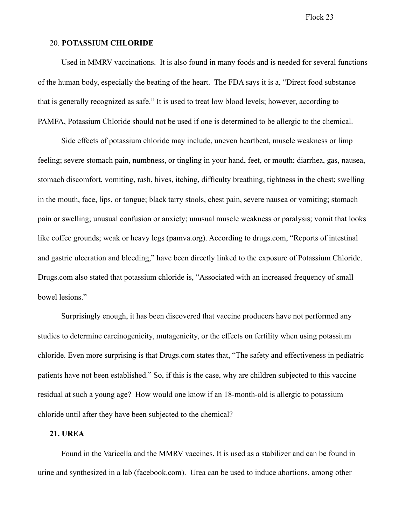### 20. **POTASSIUM CHLORIDE**

 Used in MMRV vaccinations. It is also found in many foods and is needed for several functions of the human body, especially the beating of the heart. The FDA says it is a, "Direct food substance that is generally recognized as safe." It is used to treat low blood levels; however, according to PAMFA, Potassium Chloride should not be used if one is determined to be allergic to the chemical.

 Side effects of potassium chloride may include, uneven heartbeat, muscle weakness or limp feeling; severe stomach pain, numbness, or tingling in your hand, feet, or mouth; diarrhea, gas, nausea, stomach discomfort, vomiting, rash, hives, itching, difficulty breathing, tightness in the chest; swelling in the mouth, face, lips, or tongue; black tarry stools, chest pain, severe nausea or vomiting; stomach pain or swelling; unusual confusion or anxiety; unusual muscle weakness or paralysis; vomit that looks like coffee grounds; weak or heavy legs (pamva.org). According to drugs.com, "Reports of intestinal and gastric ulceration and bleeding," have been directly linked to the exposure of Potassium Chloride. Drugs.com also stated that potassium chloride is, "Associated with an increased frequency of small bowel lesions."

 Surprisingly enough, it has been discovered that vaccine producers have not performed any studies to determine carcinogenicity, mutagenicity, or the effects on fertility when using potassium chloride. Even more surprising is that Drugs.com states that, "The safety and effectiveness in pediatric patients have not been established." So, if this is the case, why are children subjected to this vaccine residual at such a young age? How would one know if an 18-month-old is allergic to potassium chloride until after they have been subjected to the chemical?

### **21. UREA**

 Found in the Varicella and the MMRV vaccines. It is used as a stabilizer and can be found in urine and synthesized in a lab (facebook.com). Urea can be used to induce abortions, among other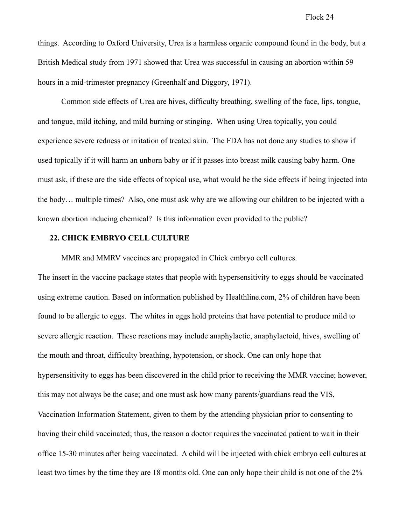things. According to Oxford University, Urea is a harmless organic compound found in the body, but a British Medical study from 1971 showed that Urea was successful in causing an abortion within 59 hours in a mid-trimester pregnancy (Greenhalf and Diggory, 1971).

 Common side effects of Urea are hives, difficulty breathing, swelling of the face, lips, tongue, and tongue, mild itching, and mild burning or stinging. When using Urea topically, you could experience severe redness or irritation of treated skin. The FDA has not done any studies to show if used topically if it will harm an unborn baby or if it passes into breast milk causing baby harm. One must ask, if these are the side effects of topical use, what would be the side effects if being injected into the body… multiple times? Also, one must ask why are we allowing our children to be injected with a known abortion inducing chemical? Is this information even provided to the public?

## **22. CHICK EMBRYO CELL CULTURE**

MMR and MMRV vaccines are propagated in Chick embryo cell cultures.

The insert in the vaccine package states that people with hypersensitivity to eggs should be vaccinated using extreme caution. Based on information published by Healthline.com, 2% of children have been found to be allergic to eggs. The whites in eggs hold proteins that have potential to produce mild to severe allergic reaction. These reactions may include anaphylactic, anaphylactoid, hives, swelling of the mouth and throat, difficulty breathing, hypotension, or shock. One can only hope that hypersensitivity to eggs has been discovered in the child prior to receiving the MMR vaccine; however, this may not always be the case; and one must ask how many parents/guardians read the VIS, Vaccination Information Statement, given to them by the attending physician prior to consenting to having their child vaccinated; thus, the reason a doctor requires the vaccinated patient to wait in their office 15-30 minutes after being vaccinated. A child will be injected with chick embryo cell cultures at least two times by the time they are 18 months old. One can only hope their child is not one of the 2%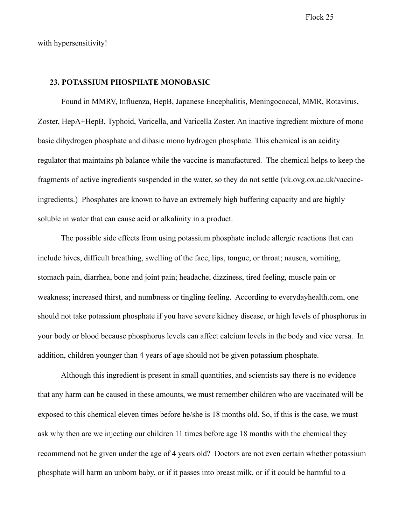with hypersensitivity!

### **23. POTASSIUM PHOSPHATE MONOBASIC**

 Found in MMRV, Influenza, HepB, Japanese Encephalitis, Meningococcal, MMR, Rotavirus, Zoster, HepA+HepB, Typhoid, Varicella, and Varicella Zoster. An inactive ingredient mixture of mono basic dihydrogen phosphate and dibasic mono hydrogen phosphate. This chemical is an acidity regulator that maintains ph balance while the vaccine is manufactured. The chemical helps to keep the fragments of active ingredients suspended in the water, so they do not settle (vk.ovg.ox.ac.uk/vaccineingredients.) Phosphates are known to have an extremely high buffering capacity and are highly soluble in water that can cause acid or alkalinity in a product.

The possible side effects from using potassium phosphate include allergic reactions that can include hives, difficult breathing, swelling of the face, lips, tongue, or throat; nausea, vomiting, stomach pain, diarrhea, bone and joint pain; headache, dizziness, tired feeling, muscle pain or weakness; increased thirst, and numbness or tingling feeling. According to everydayhealth.com, one should not take potassium phosphate if you have severe kidney disease, or high levels of phosphorus in your body or blood because phosphorus levels can affect calcium levels in the body and vice versa. In addition, children younger than 4 years of age should not be given potassium phosphate.

Although this ingredient is present in small quantities, and scientists say there is no evidence that any harm can be caused in these amounts, we must remember children who are vaccinated will be exposed to this chemical eleven times before he/she is 18 months old. So, if this is the case, we must ask why then are we injecting our children 11 times before age 18 months with the chemical they recommend not be given under the age of 4 years old? Doctors are not even certain whether potassium phosphate will harm an unborn baby, or if it passes into breast milk, or if it could be harmful to a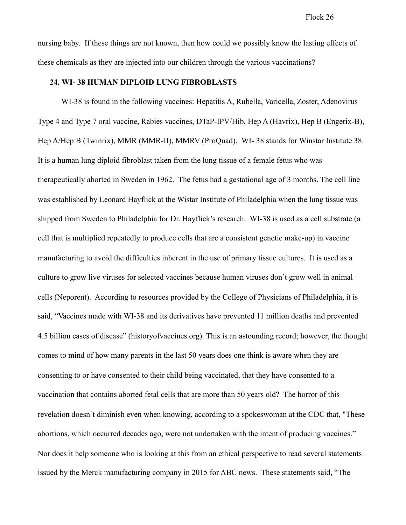nursing baby. If these things are not known, then how could we possibly know the lasting effects of these chemicals as they are injected into our children through the various vaccinations?

### **24. WI- 38 HUMAN DIPLOID LUNG FIBROBLASTS**

 WI-38 is found in the following vaccines: Hepatitis A, Rubella, Varicella, Zoster, Adenovirus Type 4 and Type 7 oral vaccine, Rabies vaccines, DTaP-IPV/Hib, Hep A (Havrix), Hep B (Engerix-B), Hep A/Hep B (Twinrix), MMR (MMR-II), MMRV (ProQuad). WI- 38 stands for Winstar Institute 38. It is a human lung diploid fibroblast taken from the lung tissue of a female fetus who was therapeutically aborted in Sweden in 1962. The fetus had a gestational age of 3 months. The cell line was established by Leonard Hayflick at the Wistar Institute of Philadelphia when the lung tissue was shipped from Sweden to Philadelphia for Dr. Hayflick's research. WI-38 is used as a cell substrate (a cell that is multiplied repeatedly to produce cells that are a consistent genetic make-up) in vaccine manufacturing to avoid the difficulties inherent in the use of primary tissue cultures. It is used as a culture to grow live viruses for selected vaccines because human viruses don't grow well in animal cells (Neporent). According to resources provided by the College of Physicians of Philadelphia, it is said, "Vaccines made with WI-38 and its derivatives have prevented 11 million deaths and prevented 4.5 billion cases of disease" (historyofvaccines.org). This is an astounding record; however, the thought comes to mind of how many parents in the last 50 years does one think is aware when they are consenting to or have consented to their child being vaccinated, that they have consented to a vaccination that contains aborted fetal cells that are more than 50 years old? The horror of this revelation doesn't diminish even when knowing, according to a spokeswoman at the CDC that, "These abortions, which occurred decades ago, were not undertaken with the intent of producing vaccines." Nor does it help someone who is looking at this from an ethical perspective to read several statements issued by the Merck manufacturing company in 2015 for ABC news. These statements said, "The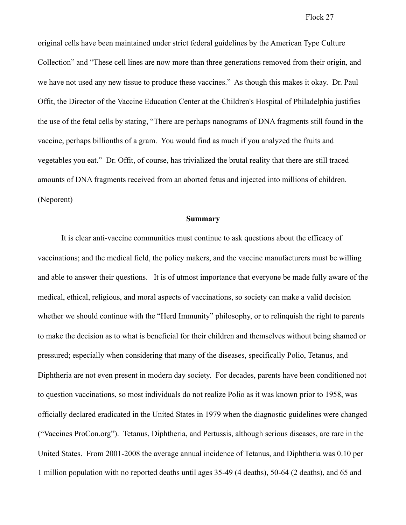original cells have been maintained under strict federal guidelines by the American Type Culture Collection" and "These cell lines are now more than three generations removed from their origin, and we have not used any new tissue to produce these vaccines." As though this makes it okay. Dr. Paul Offit, the Director of the Vaccine Education Center at the Children's Hospital of Philadelphia justifies the use of the fetal cells by stating, "There are perhaps nanograms of DNA fragments still found in the vaccine, perhaps billionths of a gram. You would find as much if you analyzed the fruits and vegetables you eat." Dr. Offit, of course, has trivialized the brutal reality that there are still traced amounts of DNA fragments received from an aborted fetus and injected into millions of children. (Neporent)

### **Summary**

 It is clear anti-vaccine communities must continue to ask questions about the efficacy of vaccinations; and the medical field, the policy makers, and the vaccine manufacturers must be willing and able to answer their questions. It is of utmost importance that everyone be made fully aware of the medical, ethical, religious, and moral aspects of vaccinations, so society can make a valid decision whether we should continue with the "Herd Immunity" philosophy, or to relinquish the right to parents to make the decision as to what is beneficial for their children and themselves without being shamed or pressured; especially when considering that many of the diseases, specifically Polio, Tetanus, and Diphtheria are not even present in modern day society. For decades, parents have been conditioned not to question vaccinations, so most individuals do not realize Polio as it was known prior to 1958, was officially declared eradicated in the United States in 1979 when the diagnostic guidelines were changed ("Vaccines ProCon.org"). Tetanus, Diphtheria, and Pertussis, although serious diseases, are rare in the United States. From 2001-2008 the average annual incidence of Tetanus, and Diphtheria was 0.10 per 1 million population with no reported deaths until ages 35-49 (4 deaths), 50-64 (2 deaths), and 65 and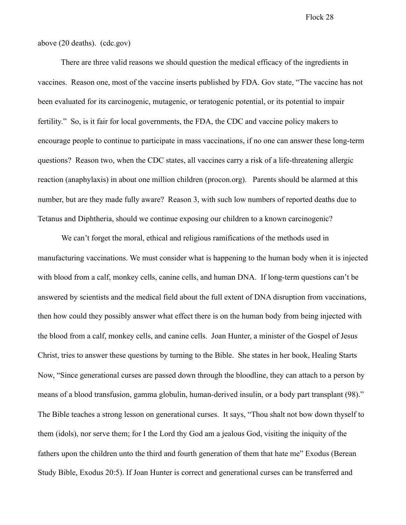above (20 deaths). (cdc.gov)

There are three valid reasons we should question the medical efficacy of the ingredients in vaccines. Reason one, most of the vaccine inserts published by FDA. Gov state, "The vaccine has not been evaluated for its carcinogenic, mutagenic, or teratogenic potential, or its potential to impair fertility." So, is it fair for local governments, the FDA, the CDC and vaccine policy makers to encourage people to continue to participate in mass vaccinations, if no one can answer these long-term questions? Reason two, when the CDC states, all vaccines carry a risk of a life-threatening allergic reaction (anaphylaxis) in about one million children (procon.org). Parents should be alarmed at this number, but are they made fully aware? Reason 3, with such low numbers of reported deaths due to Tetanus and Diphtheria, should we continue exposing our children to a known carcinogenic?

 We can't forget the moral, ethical and religious ramifications of the methods used in manufacturing vaccinations. We must consider what is happening to the human body when it is injected with blood from a calf, monkey cells, canine cells, and human DNA. If long-term questions can't be answered by scientists and the medical field about the full extent of DNA disruption from vaccinations, then how could they possibly answer what effect there is on the human body from being injected with the blood from a calf, monkey cells, and canine cells. Joan Hunter, a minister of the Gospel of Jesus Christ, tries to answer these questions by turning to the Bible. She states in her book, Healing Starts Now, "Since generational curses are passed down through the bloodline, they can attach to a person by means of a blood transfusion, gamma globulin, human-derived insulin, or a body part transplant (98)." The Bible teaches a strong lesson on generational curses. It says, "Thou shalt not bow down thyself to them (idols), nor serve them; for I the Lord thy God am a jealous God, visiting the iniquity of the fathers upon the children unto the third and fourth generation of them that hate me" Exodus (Berean Study Bible, Exodus 20:5). If Joan Hunter is correct and generational curses can be transferred and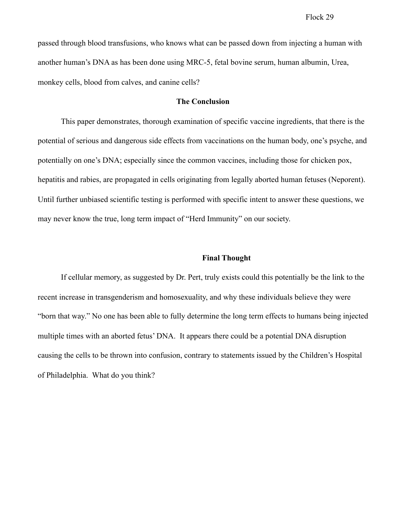passed through blood transfusions, who knows what can be passed down from injecting a human with another human's DNA as has been done using MRC-5, fetal bovine serum, human albumin, Urea, monkey cells, blood from calves, and canine cells?

### **The Conclusion**

This paper demonstrates, thorough examination of specific vaccine ingredients, that there is the potential of serious and dangerous side effects from vaccinations on the human body, one's psyche, and potentially on one's DNA; especially since the common vaccines, including those for chicken pox, hepatitis and rabies, are propagated in cells originating from legally aborted human fetuses (Neporent). Until further unbiased scientific testing is performed with specific intent to answer these questions, we may never know the true, long term impact of "Herd Immunity" on our society.

#### **Final Thought**

If cellular memory, as suggested by Dr. Pert, truly exists could this potentially be the link to the recent increase in transgenderism and homosexuality, and why these individuals believe they were "born that way." No one has been able to fully determine the long term effects to humans being injected multiple times with an aborted fetus' DNA. It appears there could be a potential DNA disruption causing the cells to be thrown into confusion, contrary to statements issued by the Children's Hospital of Philadelphia. What do you think?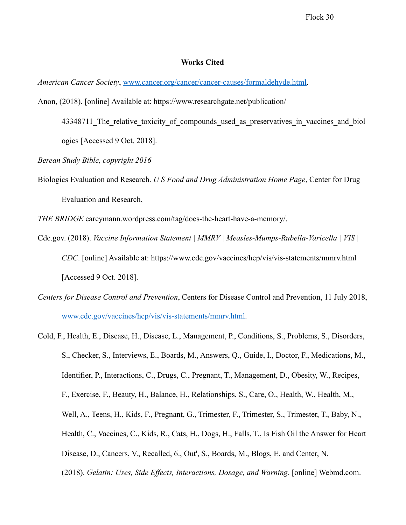### **Works Cited**

*American Cancer Society*, [www.cancer.org/cancer/cancer-causes/formaldehyde.html](http://www.cancer.org/cancer/cancer-causes/formaldehyde.html).

- Anon, (2018). [online] Available at: https://www.researchgate.net/publication/
	- 43348711 The relative toxicity of compounds used as preservatives in vaccines and biol ogics [Accessed 9 Oct. 2018].
- *Berean Study Bible, copyright 2016*
- Biologics Evaluation and Research. *U S Food and Drug Administration Home Page*, Center for Drug Evaluation and Research,

*THE BRIDGE* careymann.wordpress.com/tag/does-the-heart-have-a-memory/.

- Cdc.gov. (2018). *Vaccine Information Statement | MMRV | Measles-Mumps-Rubella-Varicella | VIS | CDC*. [online] Available at: https://www.cdc.gov/vaccines/hcp/vis/vis-statements/mmrv.html [Accessed 9 Oct. 2018].
- *Centers for Disease Control and Prevention*, Centers for Disease Control and Prevention, 11 July 2018, [www.cdc.gov/vaccines/hcp/vis/vis-statements/mmrv.html](http://www.cdc.gov/vaccines/hcp/vis/vis-statements/mmrv.html).
- Cold, F., Health, E., Disease, H., Disease, L., Management, P., Conditions, S., Problems, S., Disorders, S., Checker, S., Interviews, E., Boards, M., Answers, Q., Guide, I., Doctor, F., Medications, M., Identifier, P., Interactions, C., Drugs, C., Pregnant, T., Management, D., Obesity, W., Recipes, F., Exercise, F., Beauty, H., Balance, H., Relationships, S., Care, O., Health, W., Health, M., Well, A., Teens, H., Kids, F., Pregnant, G., Trimester, F., Trimester, S., Trimester, T., Baby, N., Health, C., Vaccines, C., Kids, R., Cats, H., Dogs, H., Falls, T., Is Fish Oil the Answer for Heart Disease, D., Cancers, V., Recalled, 6., Out', S., Boards, M., Blogs, E. and Center, N. (2018). *Gelatin: Uses, Side Effects, Interactions, Dosage, and Warning*. [online] Webmd.com.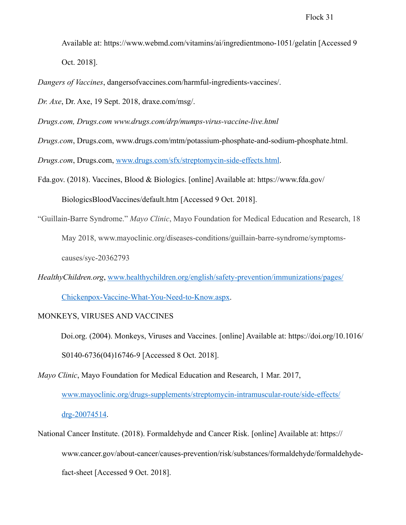Available at: https://www.webmd.com/vitamins/ai/ingredientmono-1051/gelatin [Accessed 9 Oct. 2018].

*Dangers of Vaccines*, dangersofvaccines.com/harmful-ingredients-vaccines/.

*Dr. Axe*, Dr. Axe, 19 Sept. 2018, draxe.com/msg/.

*Drugs.com, Drugs.com www.drugs.com/drp/mumps-virus-vaccine-live.html*

*Drugs.com*, Drugs.com, www.drugs.com/mtm/potassium-phosphate-and-sodium-phosphate.html.

*Drugs.com*, Drugs.com, [www.drugs.com/sfx/streptomycin-side-effects.html](http://www.drugs.com/sfx/streptomycin-side-effects.html).

Fda.gov. (2018). Vaccines, Blood & Biologics. [online] Available at: https://www.fda.gov/

BiologicsBloodVaccines/default.htm [Accessed 9 Oct. 2018].

"Guillain-Barre Syndrome." *Mayo Clinic*, Mayo Foundation for Medical Education and Research, 18

May 2018, www.mayoclinic.org/diseases-conditions/guillain-barre-syndrome/symptoms-

causes/syc-20362793

*HealthyChildren.org*, [www.healthychildren.org/english/safety-prevention/immunizations/pages/](http://www.healthychildren.org/english/safety-prevention/immunizations/pages/Chickenpox-Vaccine-What-You-Need-to-Know.aspx)

[Chickenpox-Vaccine-What-You-Need-to-Know.aspx](http://www.healthychildren.org/english/safety-prevention/immunizations/pages/Chickenpox-Vaccine-What-You-Need-to-Know.aspx).

### MONKEYS, VIRUSES AND VACCINES

Doi.org. (2004). Monkeys, Viruses and Vaccines. [online] Available at: https://doi.org/10.1016/ S0140-6736(04)16746-9 [Accessed 8 Oct. 2018].

*Mayo Clinic*, Mayo Foundation for Medical Education and Research, 1 Mar. 2017, [www.mayoclinic.org/drugs-supplements/streptomycin-intramuscular-route/side-effects/](http://www.mayoclinic.org/drugs-supplements/streptomycin-intramuscular-route/side-effects/drg-20074514) [drg-20074514](http://www.mayoclinic.org/drugs-supplements/streptomycin-intramuscular-route/side-effects/drg-20074514).

National Cancer Institute. (2018). Formaldehyde and Cancer Risk. [online] Available at: https:// www.cancer.gov/about-cancer/causes-prevention/risk/substances/formaldehyde/formaldehydefact-sheet [Accessed 9 Oct. 2018].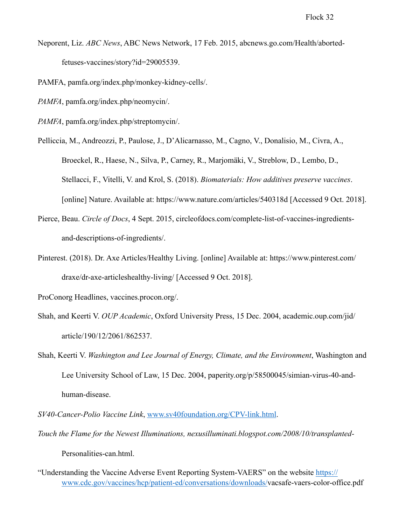Neporent, Liz. *ABC News*, ABC News Network, 17 Feb. 2015, abcnews.go.com/Health/abortedfetuses-vaccines/story?id=29005539.

PAMFA, pamfa.org/index.php/monkey-kidney-cells/.

- *PAMFA*, pamfa.org/index.php/neomycin/.
- *PAMFA*, pamfa.org/index.php/streptomycin/.
- Pelliccia, M., Andreozzi, P., Paulose, J., D'Alicarnasso, M., Cagno, V., Donalisio, M., Civra, A., Broeckel, R., Haese, N., Silva, P., Carney, R., Marjomäki, V., Streblow, D., Lembo, D., Stellacci, F., Vitelli, V. and Krol, S. (2018). *Biomaterials: How additives preserve vaccines*. [online] Nature. Available at: https://www.nature.com/articles/540318d [Accessed 9 Oct. 2018].
- Pierce, Beau. *Circle of Docs*, 4 Sept. 2015, circleofdocs.com/complete-list-of-vaccines-ingredientsand-descriptions-of-ingredients/.
- Pinterest. (2018). Dr. Axe Articles/Healthy Living. [online] Available at: https://www.pinterest.com/ draxe/dr-axe-articleshealthy-living/ [Accessed 9 Oct. 2018].
- ProConorg Headlines, vaccines.procon.org/.
- Shah, and Keerti V. *OUP Academic*, Oxford University Press, 15 Dec. 2004, academic.oup.com/jid/ article/190/12/2061/862537.
- Shah, Keerti V. *Washington and Lee Journal of Energy, Climate, and the Environment*, Washington and Lee University School of Law, 15 Dec. 2004, paperity.org/p/58500045/simian-virus-40-andhuman-disease.
- *SV40-Cancer-Polio Vaccine Link*, [www.sv40foundation.org/CPV-link.html.](http://www.sv40foundation.org/CPV-link.html)
- *Touch the Flame for the Newest Illuminations, nexusilluminati.blogspot.com/2008/10/transplanted-*

Personalities-can.html.

"Understanding the Vaccine Adverse Event Reporting System-VAERS" on the website [https://](https://www.cdc.gov/vaccines/hcp/patient-ed/conversations/downloads/) [www.cdc.gov/vaccines/hcp/patient-ed/conversations/downloads/](https://www.cdc.gov/vaccines/hcp/patient-ed/conversations/downloads/)vacsafe-vaers-color-office.pdf